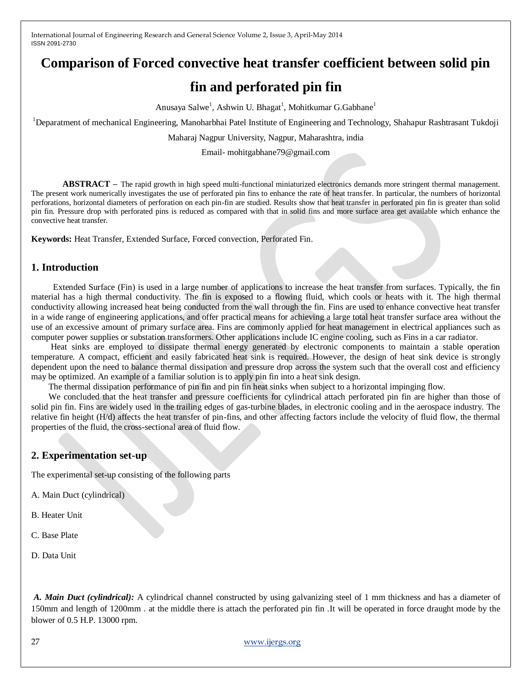# **Comparison of Forced convective heat transfer coefficient between solid pin**

# **fin and perforated pin fin**

Anusaya Salwe<sup>1</sup>, Ashwin U. Bhagat<sup>1</sup>, Mohitkumar G.Gabhane<sup>1</sup>

<sup>1</sup>Deparatment of mechanical Engineering, Manoharbhai Patel Institute of Engineering and Technology, Shahapur Rashtrasant Tukdoji

Maharaj Nagpur University, Nagpur, Maharashtra, india

Email- mohitgabhane79@gmail.com

**ABSTRACT –** The rapid growth in high speed multi-functional miniaturized electronics demands more stringent thermal management. The present work numerically investigates the use of perforated pin fins to enhance the rate of heat transfer. In particular, the numbers of horizontal perforations, horizontal diameters of perforation on each pin-fin are studied. Results show that heat transfer in perforated pin fin is greater than solid pin fin. Pressure drop with perforated pins is reduced as compared with that in solid fins and more surface area get available which enhance the convective heat transfer.

**Keywords:** Heat Transfer, Extended Surface, Forced convection, Perforated Fin.

# **1. Introduction**

 Extended Surface (Fin) is used in a large number of applications to increase the heat transfer from surfaces. Typically, the fin material has a high thermal conductivity. The fin is exposed to a flowing fluid, which cools or heats with it. The high thermal conductivity allowing increased heat being conducted from the wall through the fin. Fins are used to enhance convective heat transfer in a wide range of engineering applications, and offer practical means for achieving a large total heat transfer surface area without the use of an excessive amount of primary surface area. Fins are commonly applied for heat management in electrical appliances such as computer power supplies or substation transformers. Other applications include IC engine cooling, such as Fins in a car radiator.

Heat sinks are employed to dissipate thermal energy generated by electronic components to maintain a stable operation temperature. A compact, efficient and easily fabricated heat sink is required. However, the design of heat sink device is strongly dependent upon the need to balance thermal dissipation and pressure drop across the system such that the overall cost and efficiency may be optimized. An example of a familiar solution is to apply pin fin into a heat sink design.

The thermal dissipation performance of pin fin and pin fin heat sinks when subject to a horizontal impinging flow.

We concluded that the heat transfer and pressure coefficients for cylindrical attach perforated pin fin are higher than those of solid pin fin. Fins are widely used in the trailing edges of gas-turbine blades, in electronic cooling and in the aerospace industry. The relative fin height (H/d) affects the heat transfer of pin-fins, and other affecting factors include the velocity of fluid flow, the thermal properties of the fluid, the cross-sectional area of fluid flow.

#### **2. Experimentation set-up**

The experimental set-up consisting of the following parts

- A. Main Duct (cylindrical)
- B. Heater Unit
- C. Base Plate
- D. Data Unit

*A. Main Duct (cylindrical):* A cylindrical channel constructed by using galvanizing steel of 1 mm thickness and has a diameter of 150mm and length of 1200mm . at the middle there is attach the perforated pin fin .It will be operated in force draught mode by the blower of 0.5 H.P. 13000 rpm.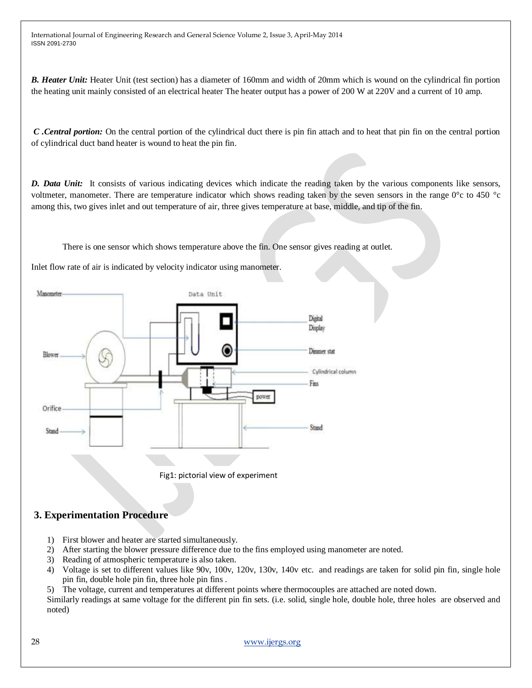*B. Heater Unit:* Heater Unit (test section) has a diameter of 160mm and width of 20mm which is wound on the cylindrical fin portion the heating unit mainly consisted of an electrical heater The heater output has a power of 200 W at 220V and a current of 10 amp.

*C .Central portion:* On the central portion of the cylindrical duct there is pin fin attach and to heat that pin fin on the central portion of cylindrical duct band heater is wound to heat the pin fin.

*D. Data Unit:* It consists of various indicating devices which indicate the reading taken by the various components like sensors, voltmeter, manometer. There are temperature indicator which shows reading taken by the seven sensors in the range 0°c to 450 °c among this, two gives inlet and out temperature of air, three gives temperature at base, middle, and tip of the fin.

There is one sensor which shows temperature above the fin. One sensor gives reading at outlet.

Inlet flow rate of air is indicated by velocity indicator using manometer.



#### **3. Experimentation Procedure**

- 1) First blower and heater are started simultaneously.
- 2) After starting the blower pressure difference due to the fins employed using manometer are noted.
- 3) Reading of atmospheric temperature is also taken.
- 4) Voltage is set to different values like 90v, 100v, 120v, 130v, 140v etc. and readings are taken for solid pin fin, single hole pin fin, double hole pin fin, three hole pin fins .
- 5) The voltage, current and temperatures at different points where thermocouples are attached are noted down.

Similarly readings at same voltage for the different pin fin sets. (i.e. solid, single hole, double hole, three holes are observed and noted)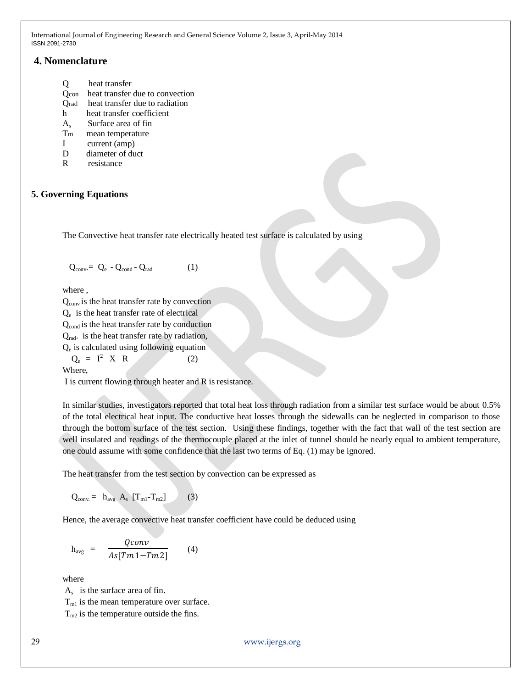# **4. Nomenclature**

- Q heat transfer
- Qcon heat transfer due to convection
- Qrad heat transfer due to radiation
- h heat transfer coefficient
- As Surface area of fin
- T<sub>m</sub> mean temperature
- I current (amp)
- D diameter of duct
- R resistance

# **5. Governing Equations**

The Convective heat transfer rate electrically heated test surface is calculated by using

$$
Q_{conv} = Q_e - Q_{cond} - Q_{rad}
$$
 (1)

where ,

 $Q<sub>conv</sub>$  is the heat transfer rate by convection

Qe is the heat transfer rate of electrical

Q<sub>cond</sub> is the heat transfer rate by conduction

Qrad. is the heat transfer rate by radiation,

Qe is calculated using following equation

$$
Q_e = I^2 \times R \tag{2}
$$

Where,

I is current flowing through heater and R is resistance.

In similar studies, investigators reported that total heat loss through radiation from a similar test surface would be about 0.5% of the total electrical heat input. The conductive heat losses through the sidewalls can be neglected in comparison to those through the bottom surface of the test section. Using these findings, together with the fact that wall of the test section are well insulated and readings of the thermocouple placed at the inlet of tunnel should be nearly equal to ambient temperature, one could assume with some confidence that the last two terms of Eq. (1) may be ignored.

The heat transfer from the test section by convection can be expressed as

$$
Q_{conv.} = h_{avg} A_s [T_{m1} - T_{m2}] \qquad (3)
$$

Hence, the average convective heat transfer coefficient have could be deduced using

$$
h_{avg} = \frac{Qconv}{As[Tm1 - Tm2]} \qquad (4)
$$

where

 $A_s$  is the surface area of fin.  $T<sub>ml</sub>$  is the mean temperature over surface.  $T_{m2}$  is the temperature outside the fins.

29 [www.ijergs.org](http://www.ijergs.org/)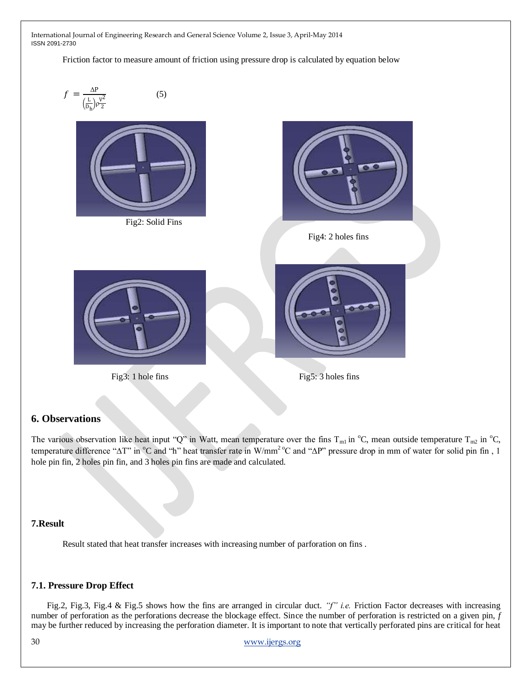Friction factor to measure amount of friction using pressure drop is calculated by equation below



#### **6. Observations**

The various observation like heat input "Q" in Watt, mean temperature over the fins  $T_{ml}$  in °C, mean outside temperature  $T_{m2}$  in °C, temperature difference "ΔT" in °C and "h" heat transfer rate in W/mm<sup>2</sup> °C and "ΔP" pressure drop in mm of water for solid pin fin, 1 hole pin fin, 2 holes pin fin, and 3 holes pin fins are made and calculated.

#### **7.Result**

Result stated that heat transfer increases with increasing number of parforation on fins .

#### **7.1. Pressure Drop Effect**

Fig.2, Fig.3, Fig.4 & Fig.5 shows how the fins are arranged in circular duct. *"f" i.e.* Friction Factor decreases with increasing number of perforation as the perforations decrease the blockage effect. Since the number of perforation is restricted on a given pin, *f*  may be further reduced by increasing the perforation diameter. It is important to note that vertically perforated pins are critical for heat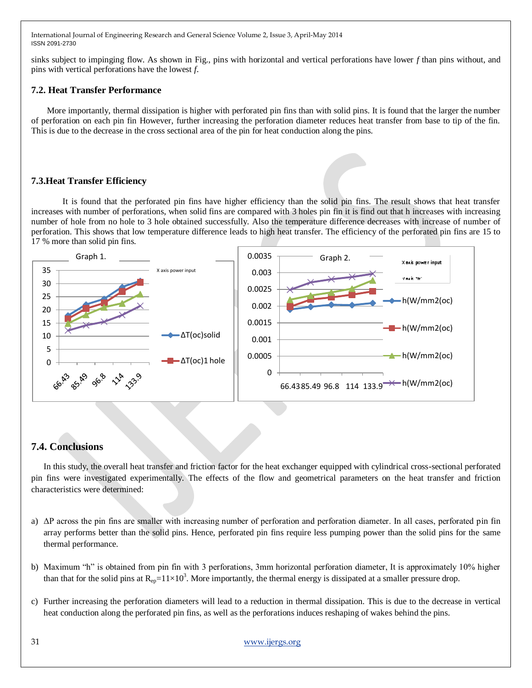sinks subject to impinging flow. As shown in Fig., pins with horizontal and vertical perforations have lower *f* than pins without, and pins with vertical perforations have the lowest *f*.

#### **7.2. Heat Transfer Performance**

More importantly, thermal dissipation is higher with perforated pin fins than with solid pins. It is found that the larger the number of perforation on each pin fin However, further increasing the perforation diameter reduces heat transfer from base to tip of the fin. This is due to the decrease in the cross sectional area of the pin for heat conduction along the pins.

# **7.3.Heat Transfer Efficiency**

It is found that the perforated pin fins have higher efficiency than the solid pin fins. The result shows that heat transfer increases with number of perforations, when solid fins are compared with 3 holes pin fin it is find out that h increases with increasing number of hole from no hole to 3 hole obtained successfully. Also the temperature difference decreases with increase of number of perforation. This shows that low temperature difference leads to high heat transfer. The efficiency of the perforated pin fins are 15 to 17 % more than solid pin fins.



# **7.4. Conclusions**

In this study, the overall heat transfer and friction factor for the heat exchanger equipped with cylindrical cross-sectional perforated pin fins were investigated experimentally. The effects of the flow and geometrical parameters on the heat transfer and friction characteristics were determined:

- a) ΔP across the pin fins are smaller with increasing number of perforation and perforation diameter. In all cases, perforated pin fin array performs better than the solid pins. Hence, perforated pin fins require less pumping power than the solid pins for the same thermal performance.
- b) Maximum "h" is obtained from pin fin with 3 perforations, 3mm horizontal perforation diameter, It is approximately 10% higher than that for the solid pins at  $R_{ep} = 11 \times 10^3$ . More importantly, the thermal energy is dissipated at a smaller pressure drop.
- c) Further increasing the perforation diameters will lead to a reduction in thermal dissipation. This is due to the decrease in vertical heat conduction along the perforated pin fins, as well as the perforations induces reshaping of wakes behind the pins.